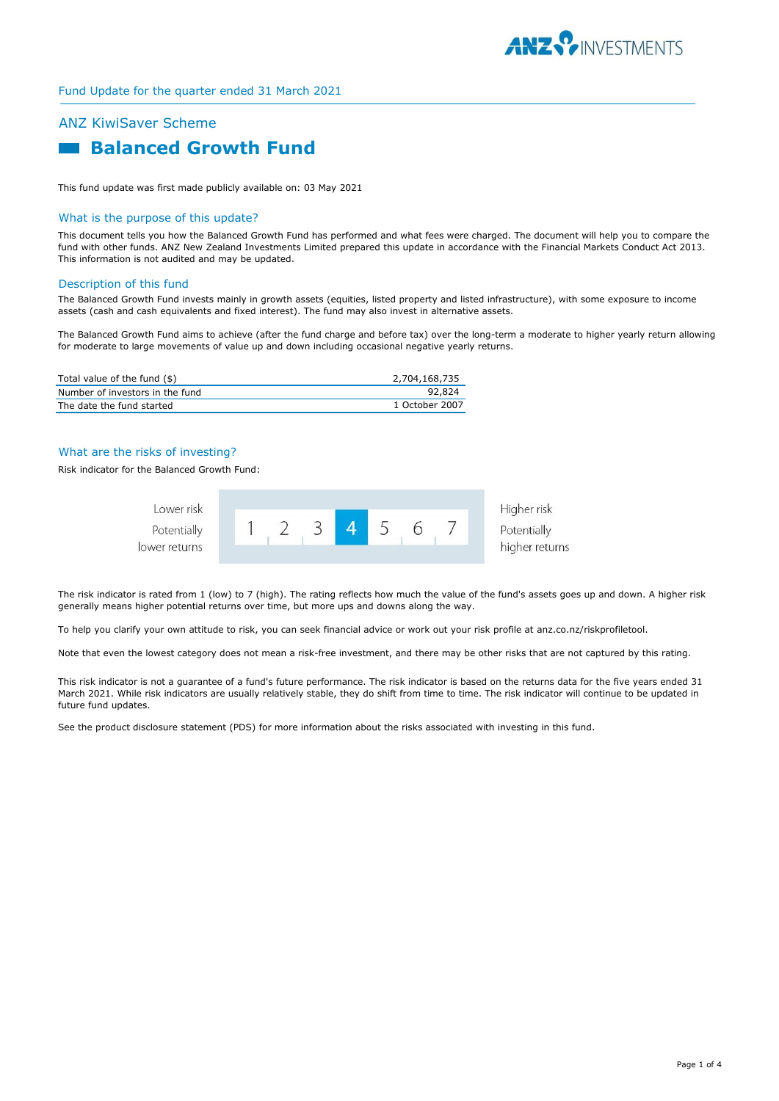

# ANZ KiwiSaver Scheme  **Balanced Growth Fund**

This fund update was first made publicly available on: 03 May 2021

#### What is the purpose of this update?

This document tells you how the Balanced Growth Fund has performed and what fees were charged. The document will help you to compare the fund with other funds. ANZ New Zealand Investments Limited prepared this update in accordance with the Financial Markets Conduct Act 2013. This information is not audited and may be updated.

#### Description of this fund

The Balanced Growth Fund invests mainly in growth assets (equities, listed property and listed infrastructure), with some exposure to income assets (cash and cash equivalents and fixed interest). The fund may also invest in alternative assets.

The Balanced Growth Fund aims to achieve (after the fund charge and before tax) over the long-term a moderate to higher yearly return allowing for moderate to large movements of value up and down including occasional negative yearly returns.

| Total value of the fund (\$)    | 2,704,168,735  |
|---------------------------------|----------------|
| Number of investors in the fund | 92.824         |
| The date the fund started       | 1 October 2007 |

## What are the risks of investing?

Risk indicator for the Balanced Growth Fund:



The risk indicator is rated from 1 (low) to 7 (high). The rating reflects how much the value of the fund's assets goes up and down. A higher risk generally means higher potential returns over time, but more ups and downs along the way.

To help you clarify your own attitude to risk, you can seek financial advice or work out your risk profile at anz.co.nz/riskprofiletool.

Note that even the lowest category does not mean a risk-free investment, and there may be other risks that are not captured by this rating.

This risk indicator is not a guarantee of a fund's future performance. The risk indicator is based on the returns data for the five years ended 31 March 2021. While risk indicators are usually relatively stable, they do shift from time to time. The risk indicator will continue to be updated in future fund updates.

See the product disclosure statement (PDS) for more information about the risks associated with investing in this fund.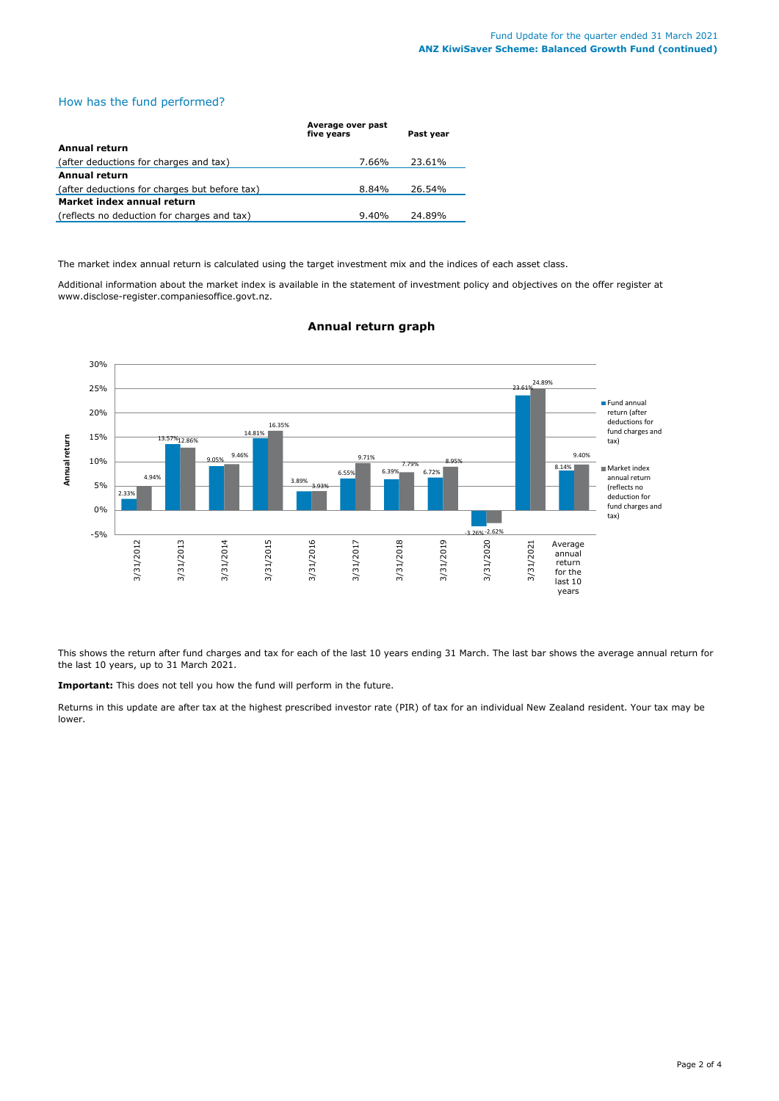# How has the fund performed?

|                                               | Average over past<br>five years | Past year |  |  |
|-----------------------------------------------|---------------------------------|-----------|--|--|
| Annual return                                 |                                 |           |  |  |
| (after deductions for charges and tax)        | 7.66%                           | 23.61%    |  |  |
| Annual return                                 |                                 |           |  |  |
| (after deductions for charges but before tax) | 8.84%                           | 26.54%    |  |  |
| Market index annual return                    |                                 |           |  |  |
| (reflects no deduction for charges and tax)   | 9.40%                           | 24.89%    |  |  |

The market index annual return is calculated using the target investment mix and the indices of each asset class.

Additional information about the market index is available in the statement of investment policy and objectives on the offer register at www.disclose-register.companiesoffice.govt.nz.



# **Annual return graph**

This shows the return after fund charges and tax for each of the last 10 years ending 31 March. The last bar shows the average annual return for the last 10 years, up to 31 March 2021.

**Important:** This does not tell you how the fund will perform in the future.

Returns in this update are after tax at the highest prescribed investor rate (PIR) of tax for an individual New Zealand resident. Your tax may be lower.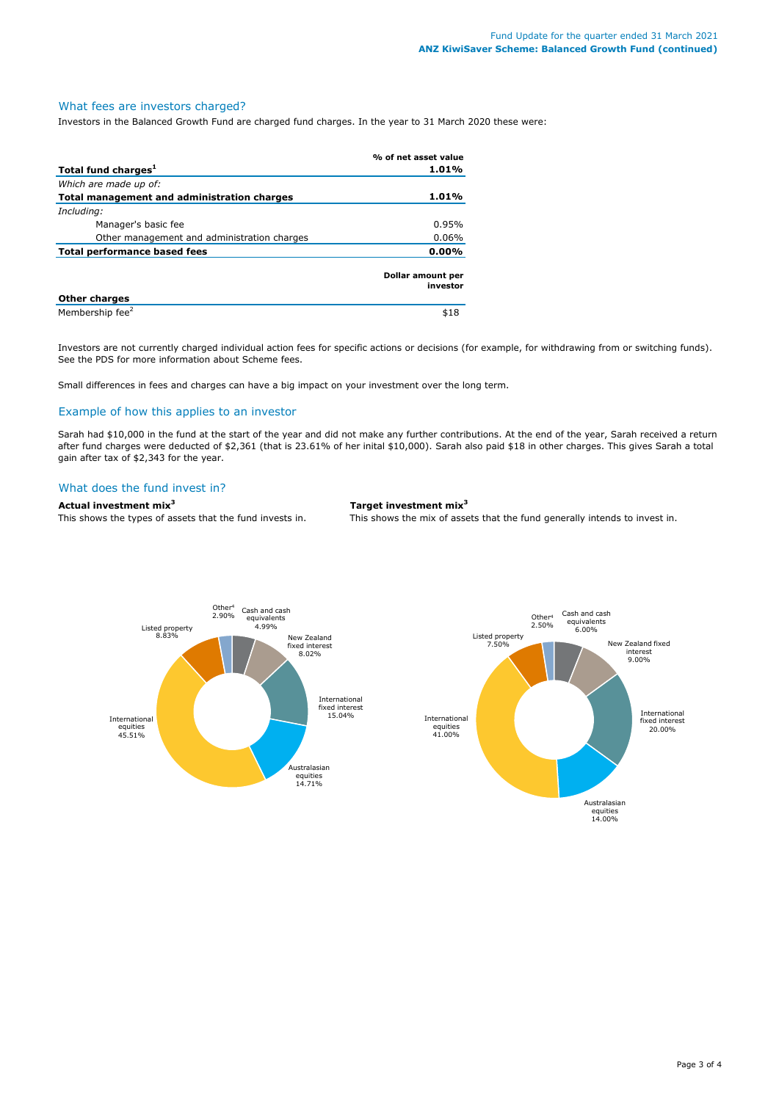#### What fees are investors charged?

Investors in the Balanced Growth Fund are charged fund charges. In the year to 31 March 2020 these were:

|                                             | % of net asset value          |  |
|---------------------------------------------|-------------------------------|--|
| Total fund charges <sup>1</sup>             | 1.01%                         |  |
| Which are made up of:                       |                               |  |
| Total management and administration charges | $1.01\%$                      |  |
| Including:                                  |                               |  |
| Manager's basic fee                         | 0.95%                         |  |
| Other management and administration charges | $0.06\%$                      |  |
| Total performance based fees                | $0.00\%$                      |  |
|                                             | Dollar amount per<br>investor |  |
| <b>Other charges</b>                        |                               |  |
| Membership fee <sup>2</sup>                 | \$18                          |  |

Investors are not currently charged individual action fees for specific actions or decisions (for example, for withdrawing from or switching funds). See the PDS for more information about Scheme fees.

Small differences in fees and charges can have a big impact on your investment over the long term.

### Example of how this applies to an investor

Sarah had \$10,000 in the fund at the start of the year and did not make any further contributions. At the end of the year, Sarah received a return after fund charges were deducted of \$2,361 (that is 23.61% of her inital \$10,000). Sarah also paid \$18 in other charges. This gives Sarah a total gain after tax of \$2,343 for the year.

### What does the fund invest in?

# **Actual investment mix<sup>3</sup> Target investment mix<sup>3</sup>**

This shows the types of assets that the fund invests in. This shows the mix of assets that the fund generally intends to invest in.